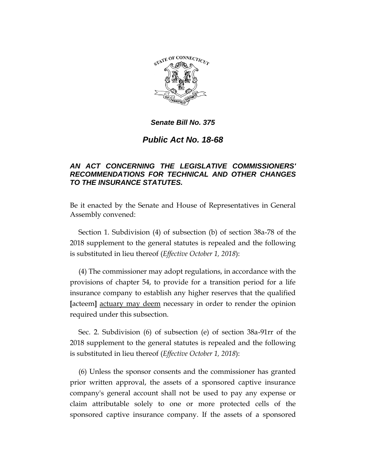

# *Public Act No. 18-68*

## *AN ACT CONCERNING THE LEGISLATIVE COMMISSIONERS' RECOMMENDATIONS FOR TECHNICAL AND OTHER CHANGES TO THE INSURANCE STATUTES.*

Be it enacted by the Senate and House of Representatives in General Assembly convened:

Section 1. Subdivision (4) of subsection (b) of section 38a-78 of the 2018 supplement to the general statutes is repealed and the following is substituted in lieu thereof (*Effective October 1, 2018*):

(4) The commissioner may adopt regulations, in accordance with the provisions of chapter 54, to provide for a transition period for a life insurance company to establish any higher reserves that the qualified **[**acteem**]** actuary may deem necessary in order to render the opinion required under this subsection.

Sec. 2. Subdivision (6) of subsection (e) of section 38a-91rr of the 2018 supplement to the general statutes is repealed and the following is substituted in lieu thereof (*Effective October 1, 2018*):

(6) Unless the sponsor consents and the commissioner has granted prior written approval, the assets of a sponsored captive insurance company's general account shall not be used to pay any expense or claim attributable solely to one or more protected cells of the sponsored captive insurance company. If the assets of a sponsored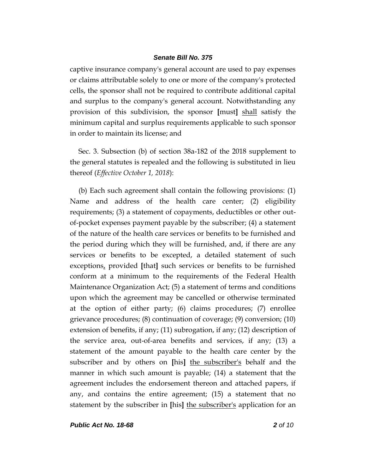captive insurance company's general account are used to pay expenses or claims attributable solely to one or more of the company's protected cells, the sponsor shall not be required to contribute additional capital and surplus to the company's general account. Notwithstanding any provision of this subdivision, the sponsor **[**must**]** shall satisfy the minimum capital and surplus requirements applicable to such sponsor in order to maintain its license; and

Sec. 3. Subsection (b) of section 38a-182 of the 2018 supplement to the general statutes is repealed and the following is substituted in lieu thereof (*Effective October 1, 2018*):

(b) Each such agreement shall contain the following provisions: (1) Name and address of the health care center; (2) eligibility requirements; (3) a statement of copayments, deductibles or other outof-pocket expenses payment payable by the subscriber; (4) a statement of the nature of the health care services or benefits to be furnished and the period during which they will be furnished, and, if there are any services or benefits to be excepted, a detailed statement of such exceptions, provided **[**that**]** such services or benefits to be furnished conform at a minimum to the requirements of the Federal Health Maintenance Organization Act; (5) a statement of terms and conditions upon which the agreement may be cancelled or otherwise terminated at the option of either party; (6) claims procedures; (7) enrollee grievance procedures; (8) continuation of coverage; (9) conversion; (10) extension of benefits, if any; (11) subrogation, if any; (12) description of the service area, out-of-area benefits and services, if any; (13) a statement of the amount payable to the health care center by the subscriber and by others on **[**his**]** the subscriber's behalf and the manner in which such amount is payable; (14) a statement that the agreement includes the endorsement thereon and attached papers, if any, and contains the entire agreement; (15) a statement that no statement by the subscriber in **[**his**]** the subscriber's application for an

*Public Act No. 18-68 2 of 10*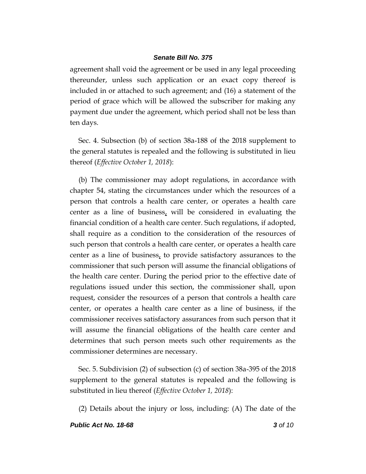agreement shall void the agreement or be used in any legal proceeding thereunder, unless such application or an exact copy thereof is included in or attached to such agreement; and (16) a statement of the period of grace which will be allowed the subscriber for making any payment due under the agreement, which period shall not be less than ten days.

Sec. 4. Subsection (b) of section 38a-188 of the 2018 supplement to the general statutes is repealed and the following is substituted in lieu thereof (*Effective October 1, 2018*):

(b) The commissioner may adopt regulations, in accordance with chapter 54, stating the circumstances under which the resources of a person that controls a health care center, or operates a health care center as a line of business, will be considered in evaluating the financial condition of a health care center. Such regulations, if adopted, shall require as a condition to the consideration of the resources of such person that controls a health care center, or operates a health care center as a line of business, to provide satisfactory assurances to the commissioner that such person will assume the financial obligations of the health care center. During the period prior to the effective date of regulations issued under this section, the commissioner shall, upon request, consider the resources of a person that controls a health care center, or operates a health care center as a line of business, if the commissioner receives satisfactory assurances from such person that it will assume the financial obligations of the health care center and determines that such person meets such other requirements as the commissioner determines are necessary.

Sec. 5. Subdivision (2) of subsection (c) of section 38a-395 of the 2018 supplement to the general statutes is repealed and the following is substituted in lieu thereof (*Effective October 1, 2018*):

(2) Details about the injury or loss, including: (A) The date of the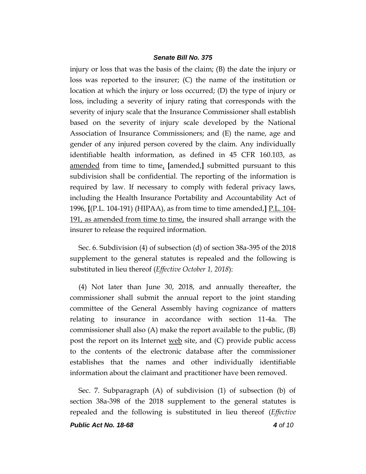injury or loss that was the basis of the claim; (B) the date the injury or loss was reported to the insurer; (C) the name of the institution or location at which the injury or loss occurred; (D) the type of injury or loss, including a severity of injury rating that corresponds with the severity of injury scale that the Insurance Commissioner shall establish based on the severity of injury scale developed by the National Association of Insurance Commissioners; and (E) the name, age and gender of any injured person covered by the claim. Any individually identifiable health information, as defined in 45 CFR 160.103, as amended from time to time, **[**amended,**]** submitted pursuant to this subdivision shall be confidential. The reporting of the information is required by law. If necessary to comply with federal privacy laws, including the Health Insurance Portability and Accountability Act of 1996, **[**(P.L. 104-191) (HIPAA), as from time to time amended,**]** P.L. 104- 191, as amended from time to time, the insured shall arrange with the insurer to release the required information.

Sec. 6. Subdivision (4) of subsection (d) of section 38a-395 of the 2018 supplement to the general statutes is repealed and the following is substituted in lieu thereof (*Effective October 1, 2018*):

(4) Not later than June 30, 2018, and annually thereafter, the commissioner shall submit the annual report to the joint standing committee of the General Assembly having cognizance of matters relating to insurance in accordance with section 11-4a. The commissioner shall also (A) make the report available to the public, (B) post the report on its Internet web site, and  $(C)$  provide public access to the contents of the electronic database after the commissioner establishes that the names and other individually identifiable information about the claimant and practitioner have been removed.

Sec. 7. Subparagraph (A) of subdivision (1) of subsection (b) of section 38a-398 of the 2018 supplement to the general statutes is repealed and the following is substituted in lieu thereof (*Effective*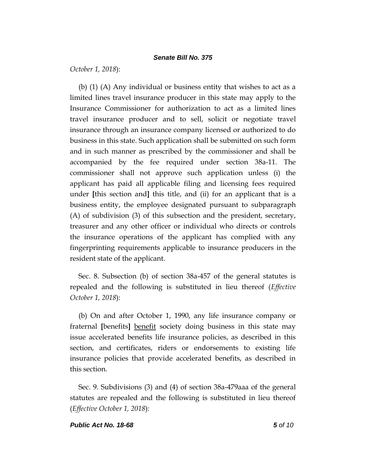*October 1, 2018*):

(b) (1) (A) Any individual or business entity that wishes to act as a limited lines travel insurance producer in this state may apply to the Insurance Commissioner for authorization to act as a limited lines travel insurance producer and to sell, solicit or negotiate travel insurance through an insurance company licensed or authorized to do business in this state. Such application shall be submitted on such form and in such manner as prescribed by the commissioner and shall be accompanied by the fee required under section 38a-11. The commissioner shall not approve such application unless (i) the applicant has paid all applicable filing and licensing fees required under **[**this section and**]** this title, and (ii) for an applicant that is a business entity, the employee designated pursuant to subparagraph (A) of subdivision (3) of this subsection and the president, secretary, treasurer and any other officer or individual who directs or controls the insurance operations of the applicant has complied with any fingerprinting requirements applicable to insurance producers in the resident state of the applicant.

Sec. 8. Subsection (b) of section 38a-457 of the general statutes is repealed and the following is substituted in lieu thereof (*Effective October 1, 2018*):

(b) On and after October 1, 1990, any life insurance company or fraternal **[**benefits**]** benefit society doing business in this state may issue accelerated benefits life insurance policies, as described in this section, and certificates, riders or endorsements to existing life insurance policies that provide accelerated benefits, as described in this section.

Sec. 9. Subdivisions (3) and (4) of section 38a-479aaa of the general statutes are repealed and the following is substituted in lieu thereof (*Effective October 1, 2018*):

#### *Public Act No. 18-68 5 of 10*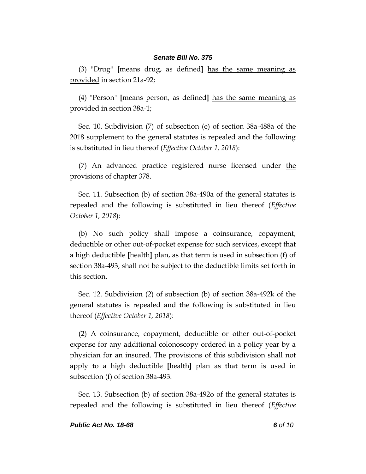(3) "Drug" **[**means drug, as defined**]** has the same meaning as provided in section 21a-92;

(4) "Person" **[**means person, as defined**]** has the same meaning as provided in section 38a-1;

Sec. 10. Subdivision (7) of subsection (e) of section 38a-488a of the 2018 supplement to the general statutes is repealed and the following is substituted in lieu thereof (*Effective October 1, 2018*):

(7) An advanced practice registered nurse licensed under the provisions of chapter 378.

Sec. 11. Subsection (b) of section 38a-490a of the general statutes is repealed and the following is substituted in lieu thereof (*Effective October 1, 2018*):

(b) No such policy shall impose a coinsurance, copayment, deductible or other out-of-pocket expense for such services, except that a high deductible **[**health**]** plan, as that term is used in subsection (f) of section 38a-493, shall not be subject to the deductible limits set forth in this section.

Sec. 12. Subdivision (2) of subsection (b) of section 38a-492k of the general statutes is repealed and the following is substituted in lieu thereof (*Effective October 1, 2018*):

(2) A coinsurance, copayment, deductible or other out-of-pocket expense for any additional colonoscopy ordered in a policy year by a physician for an insured. The provisions of this subdivision shall not apply to a high deductible **[**health**]** plan as that term is used in subsection (f) of section 38a-493.

Sec. 13. Subsection (b) of section 38a-492o of the general statutes is repealed and the following is substituted in lieu thereof (*Effective*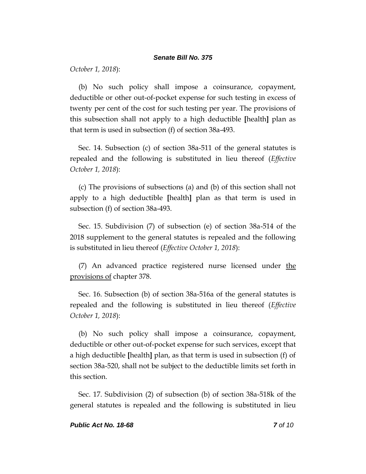*October 1, 2018*):

(b) No such policy shall impose a coinsurance, copayment, deductible or other out-of-pocket expense for such testing in excess of twenty per cent of the cost for such testing per year. The provisions of this subsection shall not apply to a high deductible **[**health**]** plan as that term is used in subsection (f) of section 38a-493.

Sec. 14. Subsection (c) of section 38a-511 of the general statutes is repealed and the following is substituted in lieu thereof (*Effective October 1, 2018*):

(c) The provisions of subsections (a) and (b) of this section shall not apply to a high deductible **[**health**]** plan as that term is used in subsection (f) of section 38a-493.

Sec. 15. Subdivision (7) of subsection (e) of section 38a-514 of the 2018 supplement to the general statutes is repealed and the following is substituted in lieu thereof (*Effective October 1, 2018*):

(7) An advanced practice registered nurse licensed under the provisions of chapter 378.

Sec. 16. Subsection (b) of section 38a-516a of the general statutes is repealed and the following is substituted in lieu thereof (*Effective October 1, 2018*):

(b) No such policy shall impose a coinsurance, copayment, deductible or other out-of-pocket expense for such services, except that a high deductible **[**health**]** plan, as that term is used in subsection (f) of section 38a-520, shall not be subject to the deductible limits set forth in this section.

Sec. 17. Subdivision (2) of subsection (b) of section 38a-518k of the general statutes is repealed and the following is substituted in lieu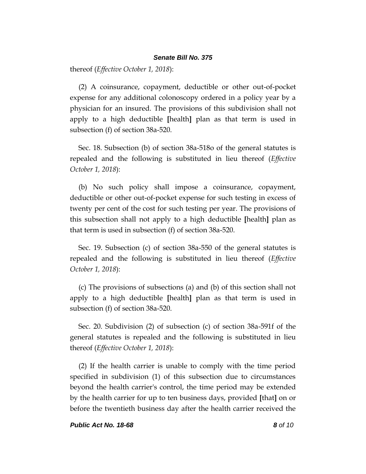thereof (*Effective October 1, 2018*):

(2) A coinsurance, copayment, deductible or other out-of-pocket expense for any additional colonoscopy ordered in a policy year by a physician for an insured. The provisions of this subdivision shall not apply to a high deductible **[**health**]** plan as that term is used in subsection (f) of section 38a-520.

Sec. 18. Subsection (b) of section 38a-518o of the general statutes is repealed and the following is substituted in lieu thereof (*Effective October 1, 2018*):

(b) No such policy shall impose a coinsurance, copayment, deductible or other out-of-pocket expense for such testing in excess of twenty per cent of the cost for such testing per year. The provisions of this subsection shall not apply to a high deductible **[**health**]** plan as that term is used in subsection (f) of section 38a-520.

Sec. 19. Subsection (c) of section 38a-550 of the general statutes is repealed and the following is substituted in lieu thereof (*Effective October 1, 2018*):

(c) The provisions of subsections (a) and (b) of this section shall not apply to a high deductible **[**health**]** plan as that term is used in subsection (f) of section 38a-520.

Sec. 20. Subdivision (2) of subsection (c) of section 38a-591f of the general statutes is repealed and the following is substituted in lieu thereof (*Effective October 1, 2018*):

(2) If the health carrier is unable to comply with the time period specified in subdivision (1) of this subsection due to circumstances beyond the health carrier's control, the time period may be extended by the health carrier for up to ten business days, provided **[**that**]** on or before the twentieth business day after the health carrier received the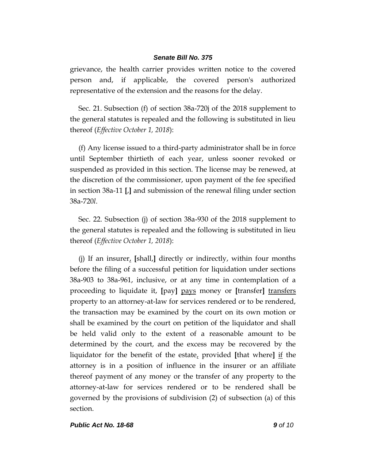grievance, the health carrier provides written notice to the covered person and, if applicable, the covered person's authorized representative of the extension and the reasons for the delay.

Sec. 21. Subsection (f) of section 38a-720j of the 2018 supplement to the general statutes is repealed and the following is substituted in lieu thereof (*Effective October 1, 2018*):

(f) Any license issued to a third-party administrator shall be in force until September thirtieth of each year, unless sooner revoked or suspended as provided in this section. The license may be renewed, at the discretion of the commissioner, upon payment of the fee specified in section 38a-11 **[**,**]** and submission of the renewal filing under section 38a-720*l*.

Sec. 22. Subsection (j) of section 38a-930 of the 2018 supplement to the general statutes is repealed and the following is substituted in lieu thereof (*Effective October 1, 2018*):

(j) If an insurer, **[**shall,**]** directly or indirectly, within four months before the filing of a successful petition for liquidation under sections 38a-903 to 38a-961, inclusive, or at any time in contemplation of a proceeding to liquidate it, **[**pay**]** pays money or **[**transfer**]** transfers property to an attorney-at-law for services rendered or to be rendered, the transaction may be examined by the court on its own motion or shall be examined by the court on petition of the liquidator and shall be held valid only to the extent of a reasonable amount to be determined by the court, and the excess may be recovered by the liquidator for the benefit of the estate, provided **[**that where**]** if the attorney is in a position of influence in the insurer or an affiliate thereof payment of any money or the transfer of any property to the attorney-at-law for services rendered or to be rendered shall be governed by the provisions of subdivision (2) of subsection (a) of this section.